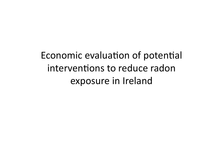Economic evaluation of potential interventions to reduce radon exposure in Ireland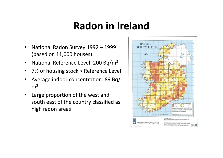## **Radon in Ireland**

- National Radon Survey: 1992 1999 (based on 11,000 houses)
- National Reference Level: 200 Bq/m<sup>3</sup>
- 7% of housing stock > Reference Level
- Average indoor concentration: 89 Bq/  $m<sup>3</sup>$
- Large proportion of the west and south east of the country classified as high radon areas

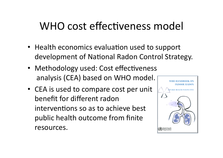## WHO cost effectiveness model

- Health economics evaluation used to support development of National Radon Control Strategy.
- Methodology used: Cost effectiveness analysis (CEA) based on WHO model.
- CEA is used to compare cost per unit benefit for different radon interventions so as to achieve best public health outcome from finite resources.

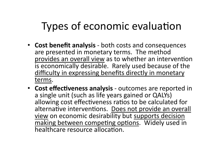# Types of economic evaluation

- **Cost benefit analysis** ‐ both costs and consequences are presented in monetary terms. The method provides an overall view as to whether an intervention is economically desirable. Rarely used because of the difficulty in expressing benefits directly in monetary terms.
- **Cost effectiveness analysis** outcomes are reported in a single unit (such as life years gained or QALYs) allowing cost effectiveness ratios to be calculated for alternative interventions. Does not provide an overall view on economic desirability but supports decision  $\overline{\text{making}}$  between competing options. Widely used in healthcare resource allocation.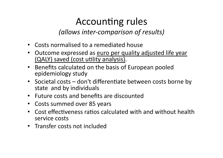## Accounting rules

*(allows inter‐comparison of results)* 

- Costs normalised to a remediated house
- Outcome expressed as euro per quality adjusted life year (QALY) saved (cost utility analysis).
- Benefits calculated on the basis of European pooled epidemiology study
- Societal costs  $-$  don't differentiate between costs borne by state and by individuals
- Future costs and benefits are discounted
- Costs summed over 85 years
- Cost effectiveness ratios calculated with and without health service costs
- Transfer costs not included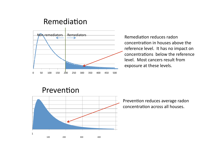### Remediation



concentration in houses above the reference level. It has no impact on concentrations below the reference level. Most cancers result from exposure at these levels.

### Prevention



Prevention reduces average radon concentration across all houses.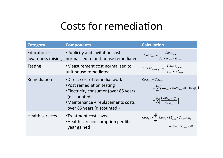## Costs for remediation

| <b>Category</b>                  | <b>Components</b>                                                                                                                                                                       | <b>Calculation</b>                                                                                                                                                                                  |
|----------------------------------|-----------------------------------------------------------------------------------------------------------------------------------------------------------------------------------------|-----------------------------------------------------------------------------------------------------------------------------------------------------------------------------------------------------|
| Education +<br>awareness raising | •Publicity and invitation costs<br>normalised to unit house remediated                                                                                                                  | $Cost_{Edu} = \frac{Cost_{Iwvi}}{f_{el} \times R_{Mis} \times R_{el}}$                                                                                                                              |
| <b>Testing</b>                   | •Measurement cost normalised to<br>unit house remediated                                                                                                                                | $Cost_{Survey} = \frac{Cost_{meas}}{f_{ol} \times R_{ol}}$                                                                                                                                          |
| Remediation                      | •Direct cost of remedial work<br>• Post remediation testing<br>• Electricity consumer (over 85 years<br>(discounted)<br>•Maintenance + replacements costs<br>over 85 years (discounted) | $Cost_{rem} = Cost_{inst}$<br>+ $\sum_{i=1}^{8}$ (Cost <sub>elec</sub> × Watts <sub>f an</sub> × 8760 × df <sub>y</sub> )<br>$+\sum_{1}^{85}\left(\frac{Cost_{Fan} \times df_{y}}{Life_{m}}\right)$ |
| <b>Health services</b>           | •Treatment cost saved<br>•Health care consumption per life<br>year gained                                                                                                               | $Cost_{HS} = \sum_{1}^{80} Cost_{y} \times LY_{gain} \times C_{aver} \times df_{y}$<br>$-Cost_{\tau} \times C_{avert} \times df_{\nu}$                                                              |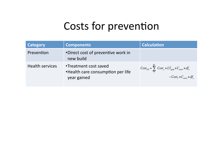## Costs for prevention

| <b>Category</b>        | <b>Components</b>                                                         | <b>Calculation</b>                                                                                                                            |
|------------------------|---------------------------------------------------------------------------|-----------------------------------------------------------------------------------------------------------------------------------------------|
| Prevention             | •Direct cost of preventive work in<br>new build                           |                                                                                                                                               |
| <b>Health services</b> | •Treatment cost saved<br>•Health care consumption per life<br>year gained | $\int Cost_{HS} = \sum_{i=1}^{85} Cost_{y} \times LY_{gain} \times C_{aver} \times df_{y}$<br>$-Cost_{\tau} \times C_{avert} \times df_{\nu}$ |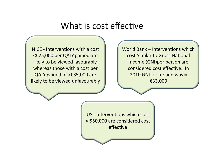## What is cost effective

NICE - Interventions with a cost <€25,000 per QALY gained are likely to be viewed favourably, whereas those with a cost per QALY gained of >€35,000 are likely to be viewed unfavourably World Bank – Interventions which cost Similar to Gross National Income (GNI)per person are considered cost effective. In 2010 GNI for Ireland was ≈ €33,000

US - Interventions which cost ≈ \$50,000 are considered cost effective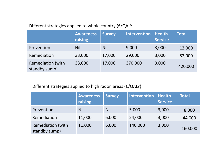### Different strategies applied to whole country (€/QALY)

|                                           | <b>Awareness</b><br>raising | <b>Survey</b> | <b>Intervention</b> | <b>Health</b><br><b>Service</b> | <b>Total</b> |
|-------------------------------------------|-----------------------------|---------------|---------------------|---------------------------------|--------------|
| Prevention                                | <b>Nil</b>                  | <b>Nil</b>    | 9,000               | 3,000                           | 12,000       |
| Remediation                               | 33,000                      | 17,000        | 29,000              | 3,000                           | 82,000       |
| <b>Remediation (with</b><br>standby sump) | 33,000                      | 17,000        | 370,000             | 3,000                           | 420,000      |

### Different strategies applied to high radon areas (€/QALY)

|                                           | <b>Awareness</b><br>raising | <b>Survey</b> | Intervention | <b>Health</b><br><b>Service</b> | <b>Total</b> |
|-------------------------------------------|-----------------------------|---------------|--------------|---------------------------------|--------------|
| Prevention                                | <b>Nil</b>                  | <b>Nil</b>    | 5,000        | 3,000                           | 8,000        |
| Remediation                               | 11,000                      | 6,000         | 24,000       | 3,000                           | 44,000       |
| <b>Remediation (with</b><br>standby sump) | 11,000                      | 6,000         | 140,000      | 3,000                           | 160,000      |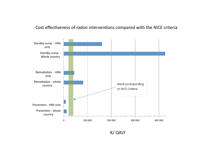#### Cost effectiveness of radon interventions compared with the NICE criteria



€/ QALY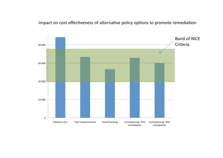Impact on cost effectiveness of alternative policy options to promote remediation

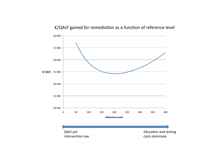### €/QALY gained for remediation as a function of reference level

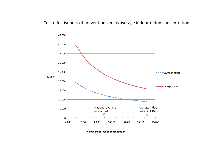#### Cost effectiveness of prevention versus average indoor radon concentration



**Average indoor radon concentration**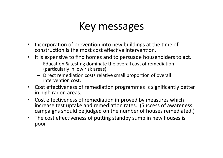## Key messages

- Incorporation of prevention into new buildings at the time of construction is the most cost effective intervention.
- It is expensive to find homes and to persuade householders to act.
	- $-$  Education & testing dominate the overall cost of remediation (particularly in low risk areas).
	- Direct remediation costs relative small proportion of overall intervention cost.
- Cost effectiveness of remediation programmes is significantly better in high radon areas.
- Cost effectiveness of remediation improved by measures which increase test uptake and remediation rates. (Success of awareness campaigns should be judged on the number of houses remediated.)
- The cost effectiveness of putting standby sump in new houses is poor.